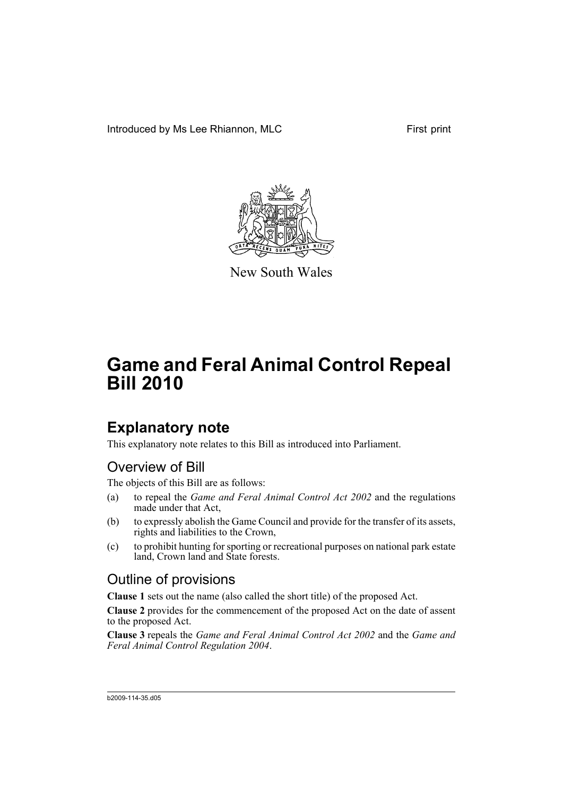Introduced by Ms Lee Rhiannon, MLC First print



New South Wales

# **Game and Feral Animal Control Repeal Bill 2010**

## **Explanatory note**

This explanatory note relates to this Bill as introduced into Parliament.

## Overview of Bill

The objects of this Bill are as follows:

- (a) to repeal the *Game and Feral Animal Control Act 2002* and the regulations made under that Act,
- (b) to expressly abolish the Game Council and provide for the transfer of its assets, rights and liabilities to the Crown,
- (c) to prohibit hunting for sporting or recreational purposes on national park estate land, Crown land and State forests.

## Outline of provisions

**Clause 1** sets out the name (also called the short title) of the proposed Act.

**Clause 2** provides for the commencement of the proposed Act on the date of assent to the proposed Act.

**Clause 3** repeals the *Game and Feral Animal Control Act 2002* and the *Game and Feral Animal Control Regulation 2004*.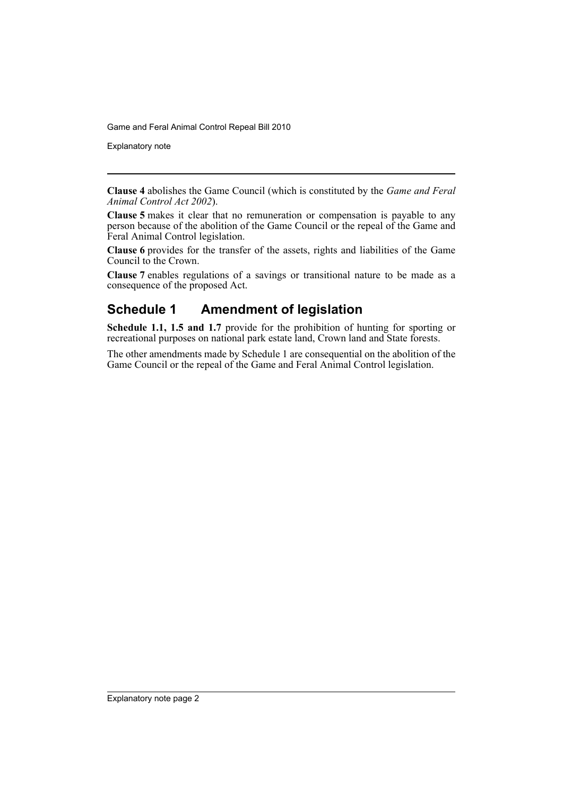Explanatory note

**Clause 4** abolishes the Game Council (which is constituted by the *Game and Feral Animal Control Act 2002*).

**Clause 5** makes it clear that no remuneration or compensation is payable to any person because of the abolition of the Game Council or the repeal of the Game and Feral Animal Control legislation.

**Clause 6** provides for the transfer of the assets, rights and liabilities of the Game Council to the Crown.

**Clause 7** enables regulations of a savings or transitional nature to be made as a consequence of the proposed Act.

#### **Schedule 1 Amendment of legislation**

**Schedule 1.1, 1.5 and 1.7** provide for the prohibition of hunting for sporting or recreational purposes on national park estate land, Crown land and State forests.

The other amendments made by Schedule 1 are consequential on the abolition of the Game Council or the repeal of the Game and Feral Animal Control legislation.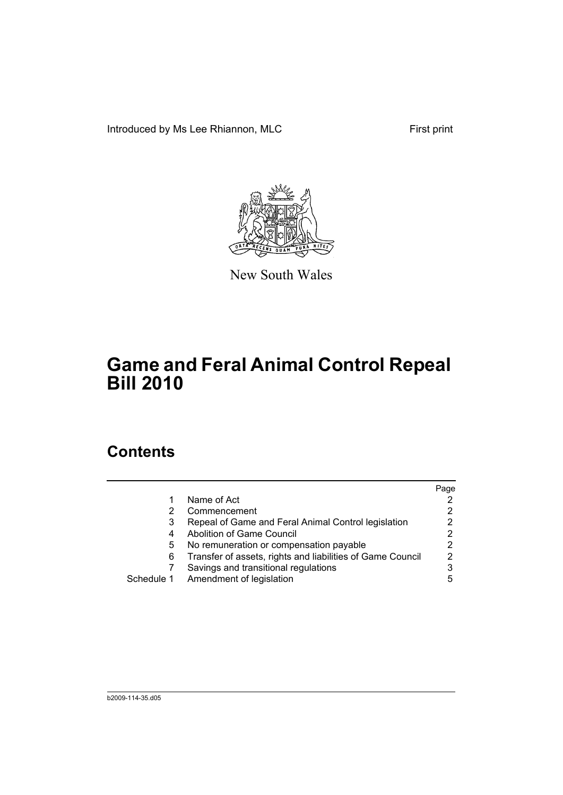Introduced by Ms Lee Rhiannon, MLC First print



New South Wales

# **Game and Feral Animal Control Repeal Bill 2010**

## **Contents**

|            |                                                            | Page |
|------------|------------------------------------------------------------|------|
|            | Name of Act                                                |      |
| 2          | Commencement                                               | 2    |
| 3          | Repeal of Game and Feral Animal Control legislation        | 2    |
| 4          | <b>Abolition of Game Council</b>                           | 2    |
| 5          | No remuneration or compensation payable                    | 2    |
| 6          | Transfer of assets, rights and liabilities of Game Council | 2    |
|            | Savings and transitional regulations                       | 3    |
| Schedule 1 | Amendment of legislation                                   | 5    |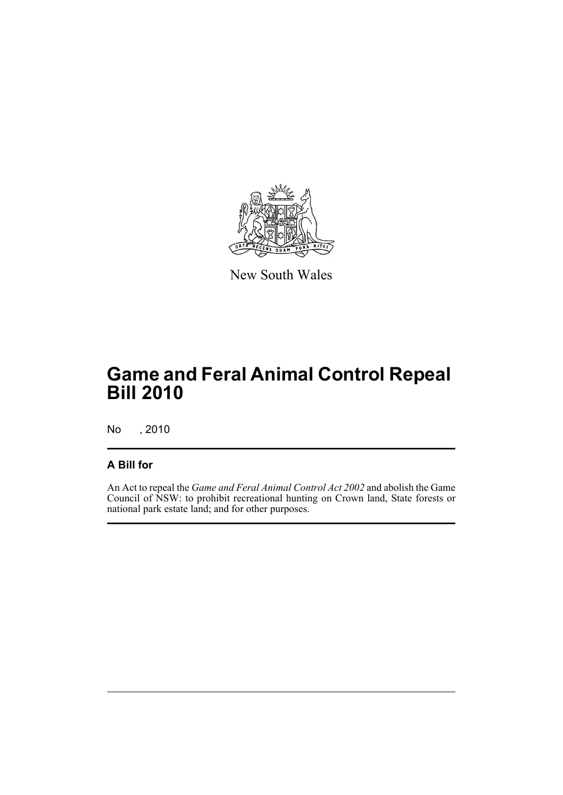

New South Wales

# **Game and Feral Animal Control Repeal Bill 2010**

No , 2010

#### **A Bill for**

An Act to repeal the *Game and Feral Animal Control Act 2002* and abolish the Game Council of NSW: to prohibit recreational hunting on Crown land, State forests or national park estate land; and for other purposes.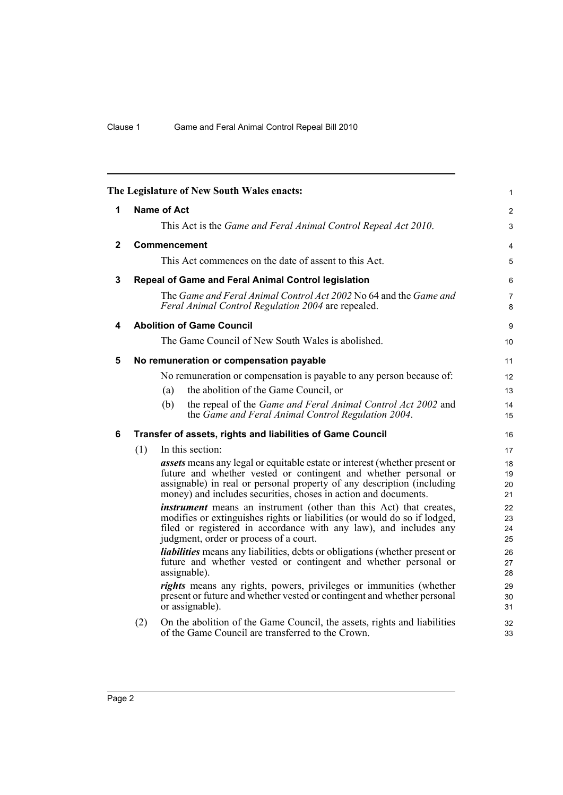<span id="page-5-5"></span><span id="page-5-4"></span><span id="page-5-3"></span><span id="page-5-2"></span><span id="page-5-1"></span><span id="page-5-0"></span>

|              |                    |     | The Legislature of New South Wales enacts:                                                                                                                                                                                                                                                        | $\mathbf{1}$         |
|--------------|--------------------|-----|---------------------------------------------------------------------------------------------------------------------------------------------------------------------------------------------------------------------------------------------------------------------------------------------------|----------------------|
| 1            | <b>Name of Act</b> |     |                                                                                                                                                                                                                                                                                                   | $\overline{2}$       |
|              |                    |     | This Act is the Game and Feral Animal Control Repeal Act 2010.                                                                                                                                                                                                                                    | 3                    |
| $\mathbf{2}$ |                    |     | <b>Commencement</b>                                                                                                                                                                                                                                                                               | $\overline{4}$       |
|              |                    |     | This Act commences on the date of assent to this Act.                                                                                                                                                                                                                                             | 5                    |
| 3            |                    |     | Repeal of Game and Feral Animal Control legislation                                                                                                                                                                                                                                               | 6                    |
|              |                    |     | The Game and Feral Animal Control Act 2002 No 64 and the Game and<br>Feral Animal Control Regulation 2004 are repealed.                                                                                                                                                                           | $\overline{7}$<br>8  |
| 4            |                    |     | <b>Abolition of Game Council</b>                                                                                                                                                                                                                                                                  | 9                    |
|              |                    |     | The Game Council of New South Wales is abolished.                                                                                                                                                                                                                                                 | 10                   |
| 5            |                    |     | No remuneration or compensation payable                                                                                                                                                                                                                                                           | 11                   |
|              |                    |     | No remuneration or compensation is payable to any person because of:                                                                                                                                                                                                                              | 12                   |
|              |                    | (a) | the abolition of the Game Council, or                                                                                                                                                                                                                                                             | 13                   |
|              |                    | (b) | the repeal of the Game and Feral Animal Control Act 2002 and<br>the Game and Feral Animal Control Regulation 2004.                                                                                                                                                                                | 14<br>15             |
| 6            |                    |     | Transfer of assets, rights and liabilities of Game Council                                                                                                                                                                                                                                        | 16                   |
|              | (1)                |     | In this section:                                                                                                                                                                                                                                                                                  | 17                   |
|              |                    |     | <i>assets</i> means any legal or equitable estate or interest (whether present or<br>future and whether vested or contingent and whether personal or<br>assignable) in real or personal property of any description (including<br>money) and includes securities, choses in action and documents. | 18<br>19<br>20<br>21 |
|              |                    |     | <i>instrument</i> means an instrument (other than this Act) that creates,<br>modifies or extinguishes rights or liabilities (or would do so if lodged,<br>filed or registered in accordance with any law), and includes any<br>judgment, order or process of a court.                             | 22<br>23<br>24<br>25 |
|              |                    |     | liabilities means any liabilities, debts or obligations (whether present or<br>future and whether vested or contingent and whether personal or<br>assignable).                                                                                                                                    | 26<br>27<br>28       |
|              |                    |     | rights means any rights, powers, privileges or immunities (whether<br>present or future and whether vested or contingent and whether personal<br>or assignable).                                                                                                                                  | 29<br>30<br>31       |
|              | (2)                |     | On the abolition of the Game Council, the assets, rights and liabilities<br>of the Game Council are transferred to the Crown.                                                                                                                                                                     | 32<br>33             |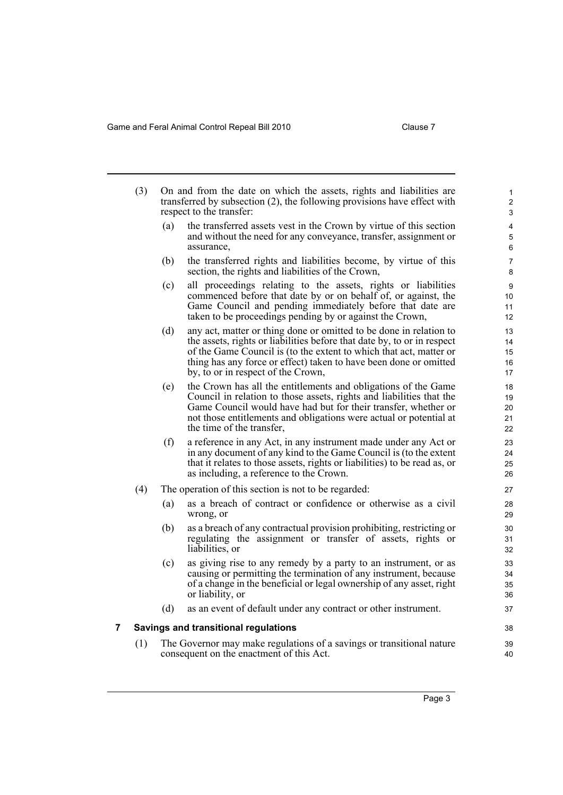<span id="page-6-0"></span>

|   | (3) | On and from the date on which the assets, rights and liabilities are<br>transferred by subsection (2), the following provisions have effect with<br>respect to the transfer: |                                                                                                                                                                                                                                                                                                                                |                            |  |  |
|---|-----|------------------------------------------------------------------------------------------------------------------------------------------------------------------------------|--------------------------------------------------------------------------------------------------------------------------------------------------------------------------------------------------------------------------------------------------------------------------------------------------------------------------------|----------------------------|--|--|
|   |     | (a)                                                                                                                                                                          | the transferred assets vest in the Crown by virtue of this section<br>and without the need for any conveyance, transfer, assignment or<br>assurance,                                                                                                                                                                           | 4<br>5<br>6                |  |  |
|   |     | (b)                                                                                                                                                                          | the transferred rights and liabilities become, by virtue of this<br>section, the rights and liabilities of the Crown,                                                                                                                                                                                                          | 7<br>8                     |  |  |
|   |     | (c)                                                                                                                                                                          | all proceedings relating to the assets, rights or liabilities<br>commenced before that date by or on behalf of, or against, the<br>Game Council and pending immediately before that date are<br>taken to be proceedings pending by or against the Crown,                                                                       | 9<br>10<br>11<br>12        |  |  |
|   |     | (d)                                                                                                                                                                          | any act, matter or thing done or omitted to be done in relation to<br>the assets, rights or liabilities before that date by, to or in respect<br>of the Game Council is (to the extent to which that act, matter or<br>thing has any force or effect) taken to have been done or omitted<br>by, to or in respect of the Crown, | 13<br>14<br>15<br>16<br>17 |  |  |
|   |     | (e)                                                                                                                                                                          | the Crown has all the entitlements and obligations of the Game<br>Council in relation to those assets, rights and liabilities that the<br>Game Council would have had but for their transfer, whether or<br>not those entitlements and obligations were actual or potential at<br>the time of the transfer,                    | 18<br>19<br>20<br>21<br>22 |  |  |
|   |     | (f)                                                                                                                                                                          | a reference in any Act, in any instrument made under any Act or<br>in any document of any kind to the Game Council is (to the extent<br>that it relates to those assets, rights or liabilities) to be read as, or<br>as including, a reference to the Crown.                                                                   | 23<br>24<br>25<br>26       |  |  |
|   | (4) |                                                                                                                                                                              | The operation of this section is not to be regarded:                                                                                                                                                                                                                                                                           | 27                         |  |  |
|   |     | (a)                                                                                                                                                                          | as a breach of contract or confidence or otherwise as a civil<br>wrong, or                                                                                                                                                                                                                                                     | 28<br>29                   |  |  |
|   |     | (b)                                                                                                                                                                          | as a breach of any contractual provision prohibiting, restricting or<br>regulating the assignment or transfer of assets, rights or<br>liabilities, or                                                                                                                                                                          | 30<br>31<br>32             |  |  |
|   |     | (c)                                                                                                                                                                          | as giving rise to any remedy by a party to an instrument, or as<br>causing or permitting the termination of any instrument, because<br>of a change in the beneficial or legal ownership of any asset, right<br>or liability, or                                                                                                | 33<br>34<br>35<br>36       |  |  |
|   |     | (d)                                                                                                                                                                          | as an event of default under any contract or other instrument.                                                                                                                                                                                                                                                                 | 37                         |  |  |
| 7 |     |                                                                                                                                                                              | <b>Savings and transitional regulations</b>                                                                                                                                                                                                                                                                                    | 38                         |  |  |
|   | (1) |                                                                                                                                                                              | The Governor may make regulations of a savings or transitional nature<br>consequent on the enactment of this Act.                                                                                                                                                                                                              | 39<br>40                   |  |  |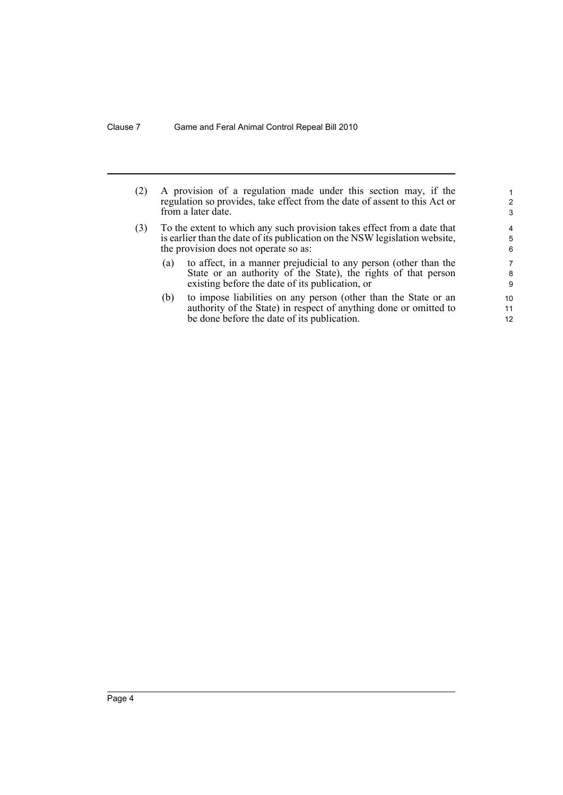| (2) |     | A provision of a regulation made under this section may, if the<br>regulation so provides, take effect from the date of assent to this Act or<br>from a later date.                             | 2<br>3         |
|-----|-----|-------------------------------------------------------------------------------------------------------------------------------------------------------------------------------------------------|----------------|
| (3) |     | To the extent to which any such provision takes effect from a date that<br>is earlier than the date of its publication on the NSW legislation website,<br>the provision does not operate so as: | 4<br>5<br>6    |
|     | (a) | to affect, in a manner prejudicial to any person (other than the<br>State or an authority of the State), the rights of that person<br>existing before the date of its publication, or           | 7<br>8<br>9    |
|     | (b) | to impose liabilities on any person (other than the State or an<br>authority of the State) in respect of anything done or omitted to<br>be done before the date of its publication.             | 10<br>11<br>12 |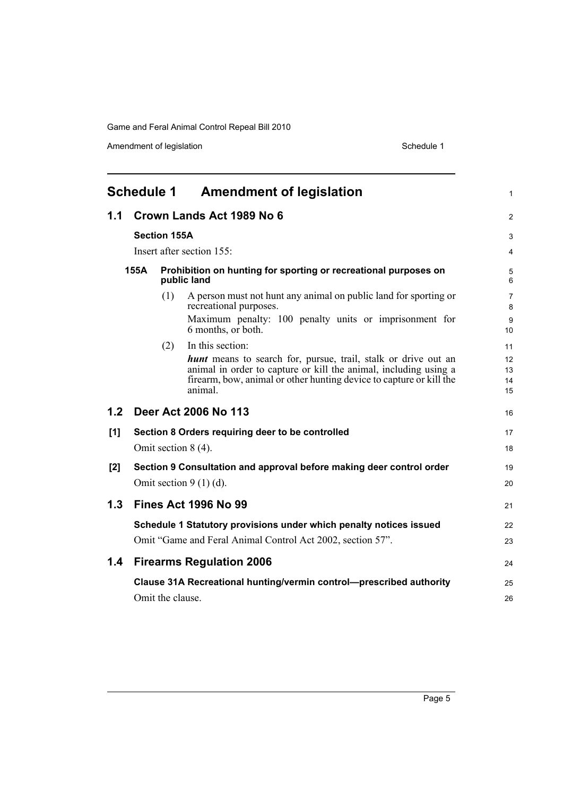Amendment of legislation and the state of the Schedule 1 Schedule 1

<span id="page-8-0"></span>

| <b>Schedule 1 Amendment of legislation</b> |      |                     | 1                                                                                                                                                                                                                           |                      |
|--------------------------------------------|------|---------------------|-----------------------------------------------------------------------------------------------------------------------------------------------------------------------------------------------------------------------------|----------------------|
| 1.1                                        |      |                     | Crown Lands Act 1989 No 6                                                                                                                                                                                                   | 2                    |
|                                            |      | <b>Section 155A</b> |                                                                                                                                                                                                                             | 3                    |
|                                            |      |                     | Insert after section 155:                                                                                                                                                                                                   | 4                    |
|                                            | 155A |                     | Prohibition on hunting for sporting or recreational purposes on<br>public land                                                                                                                                              | 5<br>6               |
|                                            |      | (1)                 | A person must not hunt any animal on public land for sporting or<br>recreational purposes.<br>Maximum penalty: 100 penalty units or imprisonment for                                                                        | 7<br>8<br>9          |
|                                            |      | (2)                 | 6 months, or both.<br>In this section:                                                                                                                                                                                      | 10<br>11             |
|                                            |      |                     | <b>hunt</b> means to search for, pursue, trail, stalk or drive out an<br>animal in order to capture or kill the animal, including using a<br>firearm, bow, animal or other hunting device to capture or kill the<br>animal. | 12<br>13<br>14<br>15 |
| 1.2                                        |      |                     | Deer Act 2006 No 113                                                                                                                                                                                                        | 16                   |
| [1]                                        |      |                     | Section 8 Orders requiring deer to be controlled                                                                                                                                                                            | 17                   |
|                                            |      |                     | Omit section 8 (4).                                                                                                                                                                                                         | 18                   |
| [2]                                        |      |                     | Section 9 Consultation and approval before making deer control order                                                                                                                                                        | 19                   |
|                                            |      |                     | Omit section $9(1)(d)$ .                                                                                                                                                                                                    | 20                   |
| 1.3                                        |      |                     | <b>Fines Act 1996 No 99</b>                                                                                                                                                                                                 | 21                   |
|                                            |      |                     | Schedule 1 Statutory provisions under which penalty notices issued<br>Omit "Game and Feral Animal Control Act 2002, section 57".                                                                                            | 22<br>23             |
| 1.4                                        |      |                     | <b>Firearms Regulation 2006</b>                                                                                                                                                                                             | 24                   |
|                                            |      |                     | Clause 31A Recreational hunting/vermin control-prescribed authority                                                                                                                                                         | 25                   |
|                                            |      | Omit the clause.    |                                                                                                                                                                                                                             | 26                   |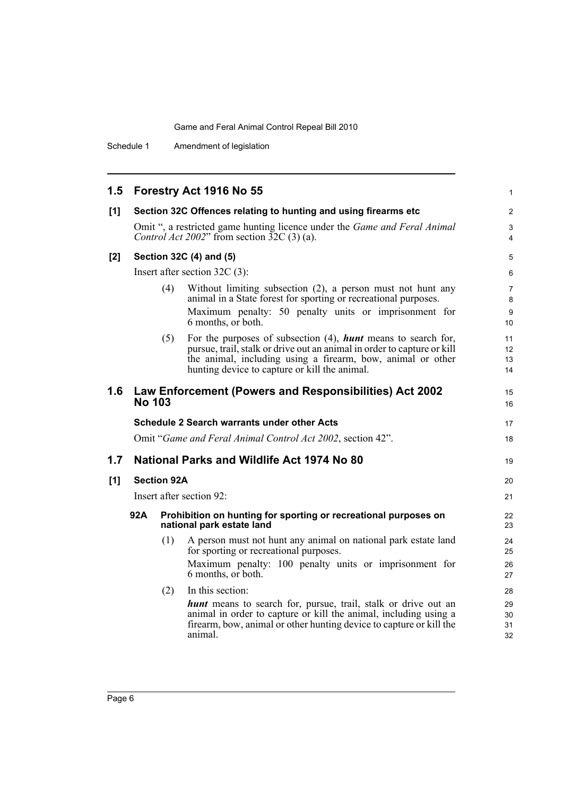| 1.5 |                                                                                                     |     | Forestry Act 1916 No 55                                                                                                                                                                                                                                            | $\mathbf{1}$                      |
|-----|-----------------------------------------------------------------------------------------------------|-----|--------------------------------------------------------------------------------------------------------------------------------------------------------------------------------------------------------------------------------------------------------------------|-----------------------------------|
| [1] |                                                                                                     |     | Section 32C Offences relating to hunting and using firearms etc                                                                                                                                                                                                    | $\overline{2}$                    |
|     |                                                                                                     |     | Omit ", a restricted game hunting licence under the <i>Game and Feral Animal</i><br>Control Act 2002" from section $32C(3)$ (a).                                                                                                                                   | 3<br>4                            |
| [2] |                                                                                                     |     | Section 32C (4) and (5)                                                                                                                                                                                                                                            | 5                                 |
|     | Insert after section $32C(3)$ :                                                                     |     |                                                                                                                                                                                                                                                                    | 6                                 |
|     |                                                                                                     | (4) | Without limiting subsection (2), a person must not hunt any<br>animal in a State forest for sporting or recreational purposes.                                                                                                                                     | $\overline{7}$<br>8               |
|     |                                                                                                     |     | Maximum penalty: 50 penalty units or imprisonment for<br>6 months, or both.                                                                                                                                                                                        | 9<br>10 <sup>1</sup>              |
|     |                                                                                                     | (5) | For the purposes of subsection $(4)$ , <b>hunt</b> means to search for,<br>pursue, trail, stalk or drive out an animal in order to capture or kill<br>the animal, including using a firearm, bow, animal or other<br>hunting device to capture or kill the animal. | 11<br>12 <sup>2</sup><br>13<br>14 |
| 1.6 | <b>No 103</b>                                                                                       |     | Law Enforcement (Powers and Responsibilities) Act 2002                                                                                                                                                                                                             | 15<br>16                          |
|     |                                                                                                     |     | <b>Schedule 2 Search warrants under other Acts</b>                                                                                                                                                                                                                 | 17                                |
|     |                                                                                                     |     | Omit "Game and Feral Animal Control Act 2002, section 42".                                                                                                                                                                                                         | 18                                |
| 1.7 | National Parks and Wildlife Act 1974 No 80                                                          |     |                                                                                                                                                                                                                                                                    | 19                                |
| [1] | <b>Section 92A</b>                                                                                  |     | 20                                                                                                                                                                                                                                                                 |                                   |
|     | Insert after section 92:                                                                            |     | 21                                                                                                                                                                                                                                                                 |                                   |
|     | 92A<br>Prohibition on hunting for sporting or recreational purposes on<br>national park estate land |     | 22<br>23                                                                                                                                                                                                                                                           |                                   |
|     |                                                                                                     | (1) | A person must not hunt any animal on national park estate land<br>for sporting or recreational purposes.                                                                                                                                                           | 24<br>25                          |
|     |                                                                                                     |     | Maximum penalty: 100 penalty units or imprisonment for<br>6 months, or both.                                                                                                                                                                                       | 26<br>27                          |
|     |                                                                                                     | (2) | In this section:                                                                                                                                                                                                                                                   | 28                                |
|     |                                                                                                     |     | <b>hunt</b> means to search for, pursue, trail, stalk or drive out an<br>animal in order to capture or kill the animal, including using a<br>firearm, bow, animal or other hunting device to capture or kill the<br>animal.                                        | 29<br>30<br>31<br>32              |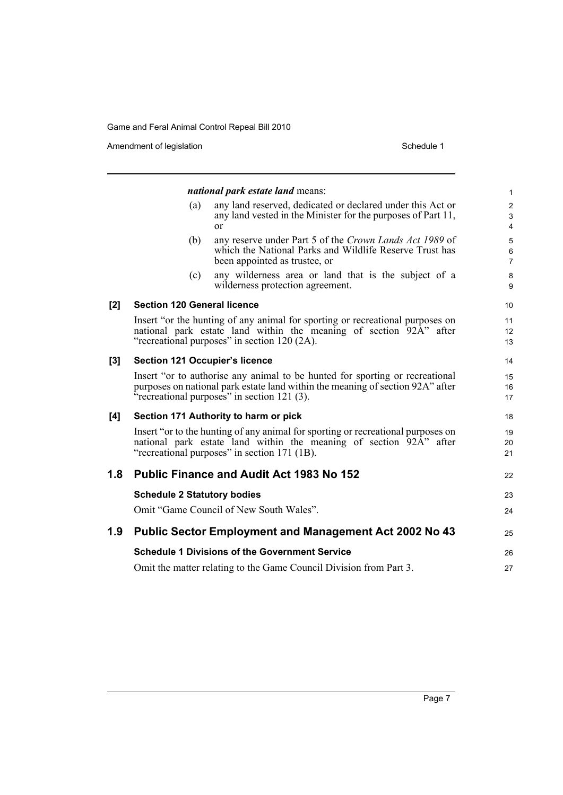Amendment of legislation and the state of the Schedule 1 Schedule 1

|       |                                       | <i>national park estate land means:</i>                                                                                                                                                                       | $\mathbf{1}$                                       |
|-------|---------------------------------------|---------------------------------------------------------------------------------------------------------------------------------------------------------------------------------------------------------------|----------------------------------------------------|
|       | (a)                                   | any land reserved, dedicated or declared under this Act or<br>any land vested in the Minister for the purposes of Part 11,<br>$\alpha$                                                                        | $\overline{c}$<br>$\mathfrak{S}$<br>$\overline{4}$ |
|       | (b)                                   | any reserve under Part 5 of the Crown Lands Act 1989 of<br>which the National Parks and Wildlife Reserve Trust has<br>been appointed as trustee, or                                                           | $\sqrt{5}$<br>6<br>$\overline{7}$                  |
|       | (c)                                   | any wilderness area or land that is the subject of a<br>wilderness protection agreement.                                                                                                                      | 8<br>9                                             |
| $[2]$ | <b>Section 120 General licence</b>    |                                                                                                                                                                                                               | 10                                                 |
|       |                                       | Insert "or the hunting of any animal for sporting or recreational purposes on<br>national park estate land within the meaning of section 92A" after<br>"recreational purposes" in section 120 (2A).           | 11<br>12<br>13                                     |
| $[3]$ | <b>Section 121 Occupier's licence</b> |                                                                                                                                                                                                               | 14                                                 |
|       |                                       | Insert "or to authorise any animal to be hunted for sporting or recreational<br>purposes on national park estate land within the meaning of section 92A" after<br>"recreational purposes" in section 121 (3). | 15<br>16<br>17                                     |
| [4]   |                                       | Section 171 Authority to harm or pick                                                                                                                                                                         | 18                                                 |
|       |                                       | Insert "or to the hunting of any animal for sporting or recreational purposes on<br>national park estate land within the meaning of section 92A" after<br>"recreational purposes" in section 171 (1B).        | 19<br>20<br>21                                     |
| 1.8   |                                       | <b>Public Finance and Audit Act 1983 No 152</b>                                                                                                                                                               | 22                                                 |
|       | <b>Schedule 2 Statutory bodies</b>    |                                                                                                                                                                                                               | 23                                                 |
|       |                                       | Omit "Game Council of New South Wales".                                                                                                                                                                       | 24                                                 |
| 1.9   |                                       | <b>Public Sector Employment and Management Act 2002 No 43</b>                                                                                                                                                 | 25                                                 |
|       |                                       | <b>Schedule 1 Divisions of the Government Service</b>                                                                                                                                                         | 26                                                 |
|       |                                       | Omit the matter relating to the Game Council Division from Part 3.                                                                                                                                            | 27                                                 |